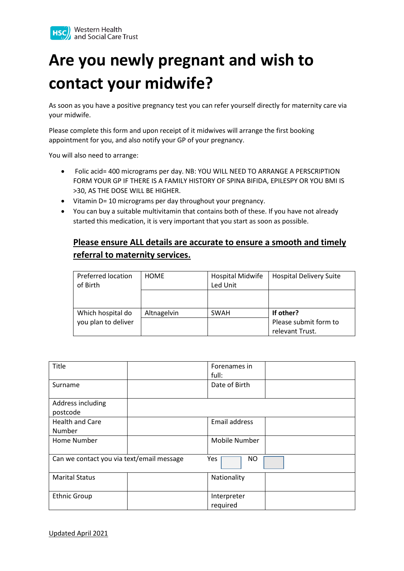

## **Are you newly pregnant and wish to contact your midwife?**

As soon as you have a positive pregnancy test you can refer yourself directly for maternity care via your midwife.

Please complete this form and upon receipt of it midwives will arrange the first booking appointment for you, and also notify your GP of your pregnancy.

You will also need to arrange:

- Folic acid= 400 micrograms per day. NB: YOU WILL NEED TO ARRANGE A PERSCRIPTION FORM YOUR GP IF THERE IS A FAMILY HISTORY OF SPINA BIFIDA, EPILESPY OR YOU BMI IS >30, AS THE DOSE WILL BE HIGHER.
- Vitamin D= 10 micrograms per day throughout your pregnancy.
- You can buy a suitable multivitamin that contains both of these. If you have not already started this medication, it is very important that you start as soon as possible.

## **Please ensure ALL details are accurate to ensure a smooth and timely referral to maternity services.**

| Preferred location<br>of Birth | <b>HOME</b> | <b>Hospital Midwife</b><br>Led Unit | <b>Hospital Delivery Suite</b> |
|--------------------------------|-------------|-------------------------------------|--------------------------------|
|                                |             |                                     |                                |
| Which hospital do              | Altnagelvin | <b>SWAH</b>                         | If other?                      |
| you plan to deliver            |             |                                     | Please submit form to          |
|                                |             |                                     | relevant Trust.                |

| Title                                     | Forenames in<br>full: |  |
|-------------------------------------------|-----------------------|--|
| Surname                                   | Date of Birth         |  |
| Address including<br>postcode             |                       |  |
| <b>Health and Care</b>                    | Email address         |  |
| Number                                    |                       |  |
| Home Number                               | Mobile Number         |  |
| Can we contact you via text/email message | Yes<br>NO.            |  |
| <b>Marital Status</b>                     | Nationality           |  |
| <b>Ethnic Group</b>                       | Interpreter           |  |
|                                           | required              |  |

Updated April 2021